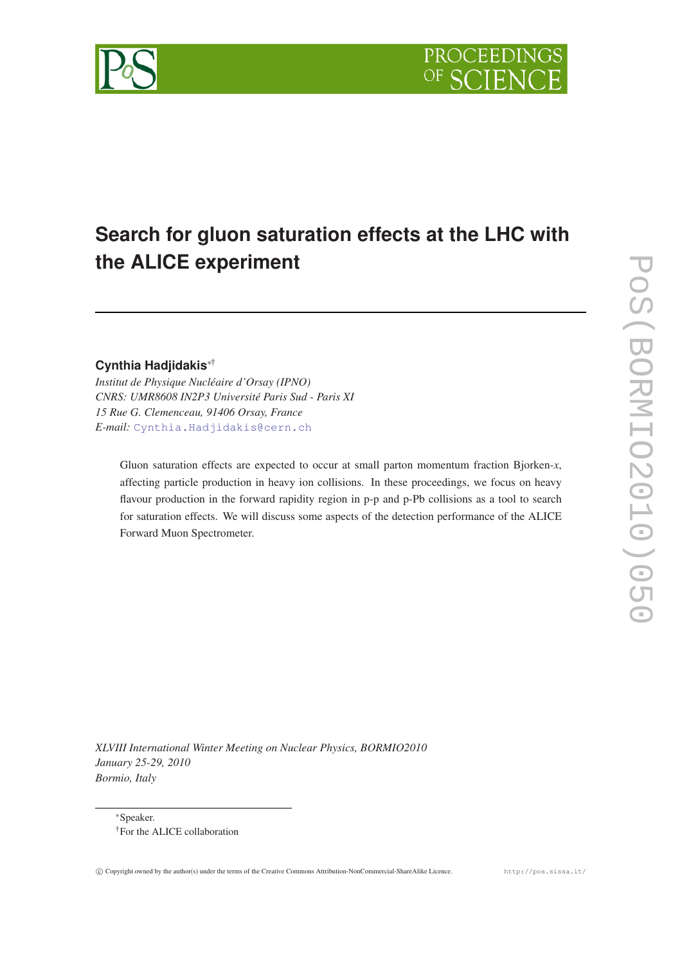

# **Search for gluon saturation effects at the LHC with the ALICE experiment**

## **Cynthia Hadjidakis**∗†

*Institut de Physique Nucléaire d'Orsay (IPNO) CNRS: UMR8608 IN2P3 Université Paris Sud - Paris XI 15 Rue G. Clemenceau, 91406 Orsay, France E-mail:* [Cynthia.Hadjidakis@cern.ch](mailto:Cynthia.Hadjidakis@cern.ch)

Gluon saturation effects are expected to occur at small parton momentum fraction Bjorken-*x*, affecting particle production in heavy ion collisions. In these proceedings, we focus on heavy flavour production in the forward rapidity region in p-p and p-Pb collisions as a tool to search for saturation effects. We will discuss some aspects of the detection performance of the ALICE Forward Muon Spectrometer.

*XLVIII International Winter Meeting on Nuclear Physics, BORMIO2010 January 25-29, 2010 Bormio, Italy*



<sup>∗</sup>Speaker. †For the ALICE collaboration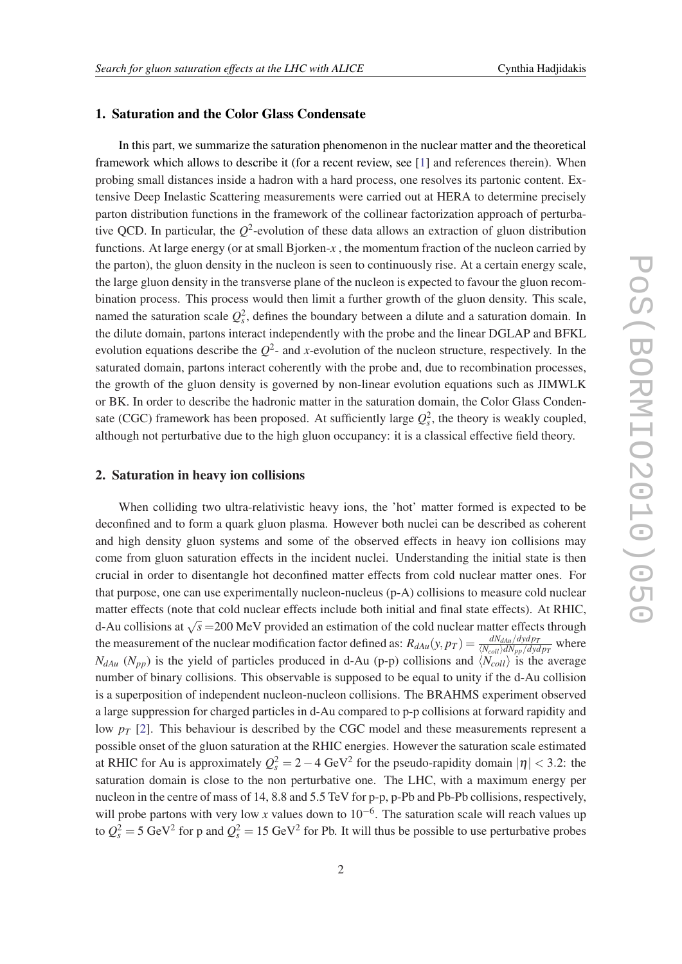### 1. Saturation and the Color Glass Condensate

In this part, we summarize the saturation phenomenon in the nuclear matter and the theoretical framework which allows to describe it (for a recent review, see [\[1\]](#page-4-0) and references therein). When probing small distances inside a hadron with a hard process, one resolves its partonic content. Extensive Deep Inelastic Scattering measurements were carried out at HERA to determine precisely parton distribution functions in the framework of the collinear factorization approach of perturbative QCD. In particular, the *Q* 2 -evolution of these data allows an extraction of gluon distribution functions. At large energy (or at small Bjorken-*x* , the momentum fraction of the nucleon carried by the parton), the gluon density in the nucleon is seen to continuously rise. At a certain energy scale, the large gluon density in the transverse plane of the nucleon is expected to favour the gluon recombination process. This process would then limit a further growth of the gluon density. This scale, named the saturation scale  $Q_s^2$ , defines the boundary between a dilute and a saturation domain. In the dilute domain, partons interact independently with the probe and the linear DGLAP and BFKL evolution equations describe the  $Q^2$ - and *x*-evolution of the nucleon structure, respectively. In the saturated domain, partons interact coherently with the probe and, due to recombination processes, the growth of the gluon density is governed by non-linear evolution equations such as JIMWLK or BK. In order to describe the hadronic matter in the saturation domain, the Color Glass Condensate (CGC) framework has been proposed. At sufficiently large  $Q_s^2$ , the theory is weakly coupled, although not perturbative due to the high gluon occupancy: it is a classical effective field theory.

#### 2. Saturation in heavy ion collisions

When colliding two ultra-relativistic heavy ions, the 'hot' matter formed is expected to be deconfined and to form a quark gluon plasma. However both nuclei can be described as coherent and high density gluon systems and some of the observed effects in heavy ion collisions may come from gluon saturation effects in the incident nuclei. Understanding the initial state is then crucial in order to disentangle hot deconfined matter effects from cold nuclear matter ones. For that purpose, one can use experimentally nucleon-nucleus (p-A) collisions to measure cold nuclear matter effects (note that cold nuclear effects include both initial and final state effects). At RHIC, d-Au collisions at  $\sqrt{s}$  =200 MeV provided an estimation of the cold nuclear matter effects through the measurement of the nuclear modification factor defined as:  $R_{dAu}(y, p_T) = \frac{dN_{dAu}/dydp_T}{\langle N_{coll} \rangle dN_{pp}/dydp_T}$  where  $N_{dAu}$  ( $N_{pp}$ ) is the yield of particles produced in d-Au (p-p) collisions and  $\langle N_{coll} \rangle$  is the average number of binary collisions. This observable is supposed to be equal to unity if the d-Au collision is a superposition of independent nucleon-nucleon collisions. The BRAHMS experiment observed a large suppression for charged particles in d-Au compared to p-p collisions at forward rapidity and low *p<sup>T</sup>* [\[2\]](#page-4-0). This behaviour is described by the CGC model and these measurements represent a possible onset of the gluon saturation at the RHIC energies. However the saturation scale estimated at RHIC for Au is approximately  $Q_s^2 = 2 - 4 \text{ GeV}^2$  for the pseudo-rapidity domain  $|\eta| < 3.2$ : the saturation domain is close to the non perturbative one. The LHC, with a maximum energy per nucleon in the centre of mass of 14, 8.8 and 5.5 TeV for p-p, p-Pb and Pb-Pb collisions, respectively, will probe partons with very low *x* values down to 10<sup>-6</sup>. The saturation scale will reach values up to  $Q_s^2 = 5 \text{ GeV}^2$  for p and  $Q_s^2 = 15 \text{ GeV}^2$  for Pb. It will thus be possible to use perturbative probes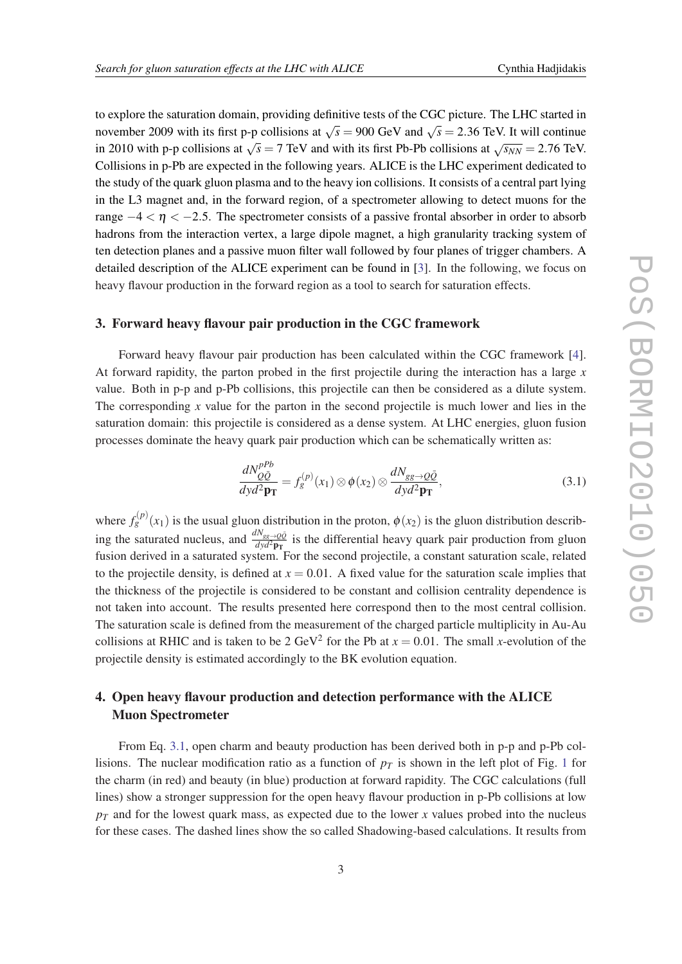<span id="page-2-0"></span>to explore the saturation domain, providing definitive tests of the CGC picture. The LHC started in november 2009 with its first p-p collisions at  $\sqrt{s} = 900$  GeV and  $\sqrt{s} = 2.36$  TeV. It will continue in 2010 with p-p collisions at  $\sqrt{s} = 7$  TeV and with its first Pb-Pb collisions at  $\sqrt{s_{NN}} = 2.76$  TeV. Collisions in p-Pb are expected in the following years. ALICE is the LHC experiment dedicated to the study of the quark gluon plasma and to the heavy ion collisions. It consists of a central part lying in the L3 magnet and, in the forward region, of a spectrometer allowing to detect muons for the range  $-4 < \eta < -2.5$ . The spectrometer consists of a passive frontal absorber in order to absorb hadrons from the interaction vertex, a large dipole magnet, a high granularity tracking system of ten detection planes and a passive muon filter wall followed by four planes of trigger chambers. A detailed description of the ALICE experiment can be found in [[3](#page-4-0)]. In the following, we focus on heavy flavour production in the forward region as a tool to search for saturation effects.

#### 3. Forward heavy flavour pair production in the CGC framework

Forward heavy flavour pair production has been calculated within the CGC framework [\[4\]](#page-4-0). At forward rapidity, the parton probed in the first projectile during the interaction has a large *x* value. Both in p-p and p-Pb collisions, this projectile can then be considered as a dilute system. The corresponding *x* value for the parton in the second projectile is much lower and lies in the saturation domain: this projectile is considered as a dense system. At LHC energies, gluon fusion processes dominate the heavy quark pair production which can be schematically written as:

$$
\frac{dN_{Q\bar{Q}}^{pPb}}{dyd^2\mathbf{p_T}} = f_g^{(p)}(x_1) \otimes \phi(x_2) \otimes \frac{dN_{gg \to Q\bar{Q}}}{dyd^2\mathbf{p_T}},
$$
\n(3.1)

where  $f_g^{(p)}(x_1)$  is the usual gluon distribution in the proton,  $\phi(x_2)$  is the gluon distribution describing the saturated nucleus, and  $\frac{dN_{gg}\to Q\bar{Q}}{dyd^2\mathbf{p_T}}$  is the differential heavy quark pair production from gluon fusion derived in a saturated system. For the second projectile, a constant saturation scale, related to the projectile density, is defined at  $x = 0.01$ . A fixed value for the saturation scale implies that the thickness of the projectile is considered to be constant and collision centrality dependence is not taken into account. The results presented here correspond then to the most central collision. The saturation scale is defined from the measurement of the charged particle multiplicity in Au-Au collisions at RHIC and is taken to be 2 GeV<sup>2</sup> for the Pb at  $x = 0.01$ . The small *x*-evolution of the projectile density is estimated accordingly to the BK evolution equation.

# 4. Open heavy flavour production and detection performance with the ALICE Muon Spectrometer

From Eq. 3.1, open charm and beauty production has been derived both in p-p and p-Pb collisions. The nuclear modification ratio as a function of  $p<sub>T</sub>$  is shown in the left plot of Fig. [1](#page-3-0) for the charm (in red) and beauty (in blue) production at forward rapidity. The CGC calculations (full lines) show a stronger suppression for the open heavy flavour production in p-Pb collisions at low  $p_T$  and for the lowest quark mass, as expected due to the lower *x* values probed into the nucleus for these cases. The dashed lines show the so called Shadowing-based calculations. It results from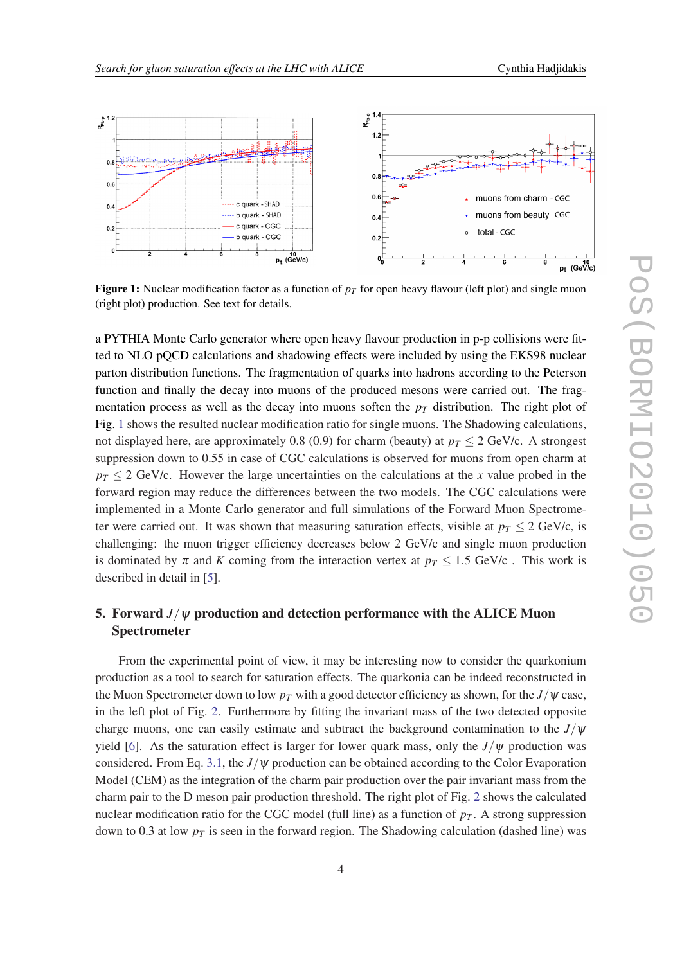<span id="page-3-0"></span>

**Figure 1:** Nuclear modification factor as a function of  $p<sub>T</sub>$  for open heavy flavour (left plot) and single muon (right plot) production. See text for details.

a PYTHIA Monte Carlo generator where open heavy flavour production in p-p collisions were fitted to NLO pQCD calculations and shadowing effects were included by using the EKS98 nuclear parton distribution functions. The fragmentation of quarks into hadrons according to the Peterson function and finally the decay into muons of the produced mesons were carried out. The fragmentation process as well as the decay into muons soften the  $p<sub>T</sub>$  distribution. The right plot of Fig. 1 shows the resulted nuclear modification ratio for single muons. The Shadowing calculations, not displayed here, are approximately 0.8 (0.9) for charm (beauty) at  $p_T \leq 2$  GeV/c. A strongest suppression down to 0.55 in case of CGC calculations is observed for muons from open charm at  $p_T < 2$  GeV/c. However the large uncertainties on the calculations at the *x* value probed in the forward region may reduce the differences between the two models. The CGC calculations were implemented in a Monte Carlo generator and full simulations of the Forward Muon Spectrometer were carried out. It was shown that measuring saturation effects, visible at  $p_T \leq 2$  GeV/c, is challenging: the muon trigger efficiency decreases below 2 GeV/c and single muon production is dominated by  $\pi$  and K coming from the interaction vertex at  $p_T \leq 1.5$  GeV/c. This work is described in detail in [[5](#page-4-0)].

## 5. Forward  $J/\psi$  production and detection performance with the ALICE Muon Spectrometer

From the experimental point of view, it may be interesting now to consider the quarkonium production as a tool to search for saturation effects. The quarkonia can be indeed reconstructed in the Muon Spectrometer down to low  $p<sub>T</sub>$  with a good detector efficiency as shown, for the  $J/\psi$  case, in the left plot of Fig. [2](#page-4-0). Furthermore by fitting the invariant mass of the two detected opposite charge muons, one can easily estimate and subtract the background contamination to the  $J/\psi$ yield [[6\]](#page-4-0). As the saturation effect is larger for lower quark mass, only the  $J/\psi$  production was considered. From Eq. [3.1](#page-2-0), the  $J/\psi$  production can be obtained according to the Color Evaporation Model (CEM) as the integration of the charm pair production over the pair invariant mass from the charm pair to the D meson pair production threshold. The right plot of Fig. [2](#page-4-0) shows the calculated nuclear modification ratio for the CGC model (full line) as a function of  $p<sub>T</sub>$ . A strong suppression down to 0.3 at low  $p_T$  is seen in the forward region. The Shadowing calculation (dashed line) was